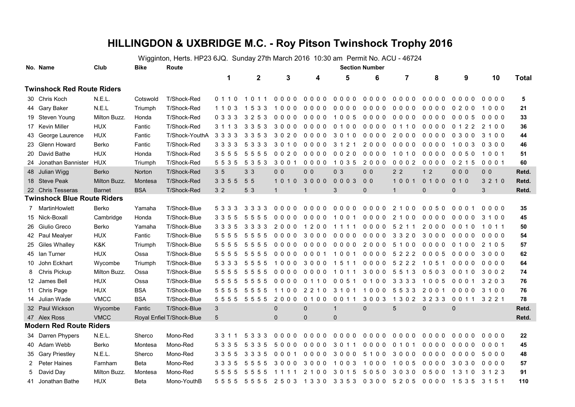## **HILLINGDON & UXBRIDGE M.C. - Roy Pitson Twinshock Trophy 2016**

Wigginton, Herts. HP23 6JQ. Sunday 27th March 2016 10:30 am Permit No. ACU - 46724

|                                    | No. Name                       | Club          | <b>Bike</b> | Route                     | <b>Section Number</b> |                  |                         |                                  |                       |                |                 |                |                |                |              |
|------------------------------------|--------------------------------|---------------|-------------|---------------------------|-----------------------|------------------|-------------------------|----------------------------------|-----------------------|----------------|-----------------|----------------|----------------|----------------|--------------|
|                                    |                                |               |             |                           | 1                     | $\boldsymbol{2}$ | 3                       | 4                                | 5                     | 6              | $\overline{7}$  | 8              | 9              | 10             | <b>Total</b> |
| <b>Twinshock Red Route Riders</b>  |                                |               |             |                           |                       |                  |                         |                                  |                       |                |                 |                |                |                |              |
|                                    | 30 Chris Koch                  | N.E.L.        | Cotswold    | T/Shock-Red               | 0 1 1 0               | 1 0 1 1          | 0000                    | $0000$                           | $0000$                | 0000           | $0000$          | $0000$         | $0000$         | 0000           | 5            |
|                                    | 44 Gary Baker                  | N.E.L         | Triumph     | T/Shock-Red               | 1 1 0 3               | 1 5 3 3          | 1000                    | $0000$                           | $0000$                | $0000$         | $0000$          | $0000$         | 0200           | 1000           | 21           |
|                                    | 19 Steven Young                | Milton Buzz.  | Honda       | T/Shock-Red               | 0 3 3 3               | 3 2 5 3          | $0000$                  | 0000                             | 1005                  | $0000$         | $0000$          | 0000           | 0005           | $0000$         | 33           |
|                                    | 17 Kevin Miller                | <b>HUX</b>    | Fantic      | T/Shock-Red               | 3 1 1 3               | 3 3 5 3          | 3000                    | 0000                             | $\Omega$<br>100       | 0000           | 0 1 1 0         | 0000           | 0 1 2 2        | 2 1 0 0        | 36           |
|                                    | 43 George Laurence             | <b>HUX</b>    | Fantic      | T/Shock-YouthA            | 3 3 3 3               | 3 3 5 3          | 3020                    | 0 <sub>0</sub><br>0 <sub>0</sub> | 3<br>010              | 0000           | 2000            | 0000           | 0300           | 3 1 0 0        | 44           |
|                                    | 23 Glenn Howard                | Berko         | Fantic      | T/Shock-Red               | 3 3 3 3               | 5 3 3 3          | 3 0 1 0                 | 0000                             | 3 1 2 1               | 2000           | $0000$          | 0000           | 1003           | 0300           | 46           |
|                                    | 20 David Bathe                 | <b>HUX</b>    | Honda       | T/Shock-Red               | 355<br>5              | 5 5 5 5          | 0020                    | 0000                             | 0020                  | 0000           | 1010            | 0000           | 0050           | 1001           | 51           |
|                                    | 24 Jonathan Bannister          | <b>HUX</b>    | Triumph     | T/Shock-Red               | 5 5 3 5               | 5 3 5 3          | 3 0 0 1                 | $0000$                           | 1 0 3 5               | 2000           | 00002           | 0000           | 0215           | 0 0 0 1        | 60           |
|                                    | 48 Julian Wigg                 | <b>Berko</b>  | Norton      | T/Shock-Red               | 3 <sub>5</sub>        | 3 <sub>3</sub>   | 0 <sub>0</sub>          | 0 <sub>0</sub>                   | 0 <sub>3</sub>        | 0 <sub>0</sub> | 2 <sub>2</sub>  | 1 <sub>2</sub> | 000            | 0 <sub>0</sub> | Retd.        |
|                                    | 18 Steve Peak                  | Milton Buzz.  | Montesa     | T/Shock-Red               | 3 3 5 5               | 5 5              | 1010 3000               |                                  | $0003$                | 0 <sub>0</sub> | 1001            | 0 1 0 0        | 010            | 3 2 1 0        | Retd.        |
|                                    | 22 Chris Tesseras              | <b>Barnet</b> | <b>BSA</b>  | T/Shock-Red               | 3 <sub>2</sub>        | 5 3              | $\mathbf{1}$            | $\mathbf 1$                      | 3                     | $\mathbf 0$    | $\mathbf{1}$    | $\mathbf 0$    | 0              | 3              | Retd.        |
| <b>Twinshock Blue Route Riders</b> |                                |               |             |                           |                       |                  |                         |                                  |                       |                |                 |                |                |                |              |
| 7                                  | MartinHowlett                  | Berko         | Yamaha      | T/Shock-Blue              | 5 3 3<br>3            | 3 3 3 3          | $0000$                  | $0000$                           | $0000$                | 0000           | 2 1 0 0         | 0050           | 0001           | 0000           | 35           |
|                                    | 15 Nick-Boxall                 | Cambridge     | Honda       | T/Shock-Blue              | 335<br>5              | 5<br>555         | 0000                    | 0000                             | 1001                  | 0000           | 2 1 0 0         | 0000           | 0000           | 3 1 0 0        | 45           |
|                                    | 26 Giulio Greco                | Berko         | Yamaha      | T/Shock-Blue              | 3 3 3 5               | 3 3 3 3          | 2000                    | 1 2 0 0                          | 1 1 1<br>$\mathbf{1}$ | $0000$         | 5 2 1 1         | 2000           | 0010           | 1011           | 50           |
|                                    | 42 Paul Mealyer                | <b>HUX</b>    | Fantic      | T/Shock-Blue              | 5 5 5 5               | 5 5 5 5          | $0000$                  | 3000                             | 0000                  | 0000           | 3 3 2 0         | 3000           | 0000           | 0000           | 54           |
|                                    | 25 Giles Whalley               | K&K           | Triumph     | T/Shock-Blue              | 555<br>5              | 555<br>5         | 0000                    | $0000$                           | 0000                  | 2000           | 5 1 0 0         | 0000           | 0 1 0 0        | 2 1 0 5        | 57           |
|                                    | 45 Ian Turner                  | <b>HUX</b>    | Ossa        | T/Shock-Blue              | 555<br>-5             | 5 5 5 5          | 0000                    | 000<br>$\mathbf{1}$              | 1001                  | 0000           | 5 2 2 2         | 0005           | 0000           | 3000           | 62           |
| 10                                 | John Eckhart                   | Wycombe       | Triumph     | T/Shock-Blue              | 5 3 3 3               | 5 5 5 5          | 1000                    | 3000                             | 1511                  | 0000           | 5 2 2 2         | 1 0 5 1        | 0000           | $0000$         | 64           |
| 8                                  | <b>Chris Pickup</b>            | Milton Buzz.  | Ossa        | T/Shock-Blue              | 5555                  | 5 5 5 5          | 0000                    | $0000$                           | 1011                  | 3000           | 5 5 1 3         | 0 5 0 3        | 0 0 1 0        | 3002           | 74           |
|                                    | 12 James Bell                  | <b>HUX</b>    | Ossa        | T/Shock-Blue              | 5 5 5 5               | 5 5 5 5          | 0000                    | 0 1 1 0                          | 0 0 5 1               | 0100           | 3 3 3 3         | 1005           | 0001           | 3203           | 76           |
|                                    | 11 Chris Page                  | <b>HUX</b>    | <b>BSA</b>  | T/Shock-Blue              | 555<br>5              | 5555             | 1100                    | 2 2 1 0                          | 3 1 0 1               | 1000           | 5 5 3 3         | 2 0 0 1        | 0000           | 3 1 0 0        | 76           |
|                                    | 14 Julian Wade                 | <b>VMCC</b>   | <b>BSA</b>  | T/Shock-Blue              | 5 5 5 5               | 5 5 5 5          | 2000                    | 0 1 0 0                          | 0 0 1 1               | 3 0 0 3        | 1 3 0 2         | 3 2 3 3        | 0 0 1 1        | 3 2 2 1        | 78           |
|                                    | 32 Paul Wickson                | Wycombe       | Fantic      | T/Shock-Blue              | 3                     |                  | $\overline{0}$          | $\mathbf{0}$                     | $\mathbf{1}$          | $\mathbf 0$    | $5\overline{)}$ | $\mathbf{0}$   | $\overline{0}$ |                | Retd.        |
|                                    | 47 Alex Ross                   | <b>VMCC</b>   |             | Royal Enfiel T/Shock-Blue | 5                     |                  | $\mathbf{0}$            | $\mathbf{0}$                     | $\overline{0}$        |                |                 |                |                |                | Retd.        |
|                                    | <b>Modern Red Route Riders</b> |               |             |                           |                       |                  |                         |                                  |                       |                |                 |                |                |                |              |
|                                    | 34 Darren Phypers              | N.E.L.        | Sherco      | Mono-Red                  | 331                   | 5 3 3 3          | 0000                    | $0000$                           | $0000$                | 0000           | 0000            | $0000$         | 0000           | 0000           | 22           |
|                                    | 40 Adam Webb                   | Berko         | Montesa     | Mono-Red                  | 5 3 3<br>5            | 5 3 3 5          | 5000                    | 0000                             | 3 0 1 1               | 0000           | 0 1 0 1         | 0000           | 0000           | 0 0 0 1        | 45           |
|                                    | 35 Gary Priestley              | N.E.L.        | Sherco      | Mono-Red                  | 3 3 5 5               | 3 3 3 5          | 0001                    | 0000                             | 3000                  | 5 1 0 0        | 3000            | 0000           | 0000           | 5000           | 48           |
| 2                                  | Peter Haines                   | Farnham       | Beta        | Mono-Red                  | 3 3 3 5               | 5 5 5 5          | 3000                    | 3000                             | 1003                  | 1000           | 1 0 0 5         | 0000           | 3030           | 0000           | 57           |
| 5                                  | David Day                      | Milton Buzz.  | Montesa     | Mono-Red                  | 5555                  | 5555             | 1111                    | 2 1 0 0                          | 3 0 1 5               | 5050           | 3030            | 0500           | 1 3 1 0        | 3 1 2 3        | 91           |
|                                    | 41 Jonathan Bathe              | <b>HUX</b>    | Beta        | Mono-YouthB               | 5555                  |                  | 5 5 5 5 2 5 0 3 1 3 3 0 |                                  | 33530300              |                | 5 2 0 5         | 0000 1535      |                | 3 1 5 1        | 110          |